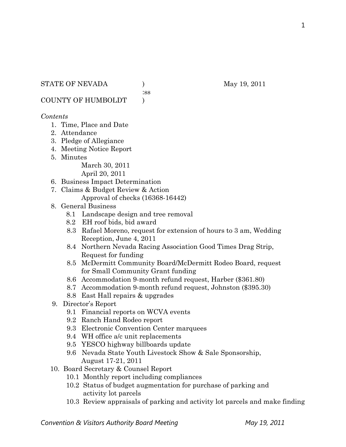#### STATE OF NEVADA (a) (b) May 19, 2011

:ss

COUNTY OF HUMBOLDT )

### *Contents*

- 1. Time, Place and Date
- 2. Attendance
- 3. Pledge of Allegiance
- 4. Meeting Notice Report
- 5. Minutes

March 30, 2011

April 20, 2011

- 6. Business Impact Determination
- 7. Claims & Budget Review & Action Approval of checks (16368-16442)
- 8. General Business
	- 8.1 Landscape design and tree removal
	- 8.2 EH roof bids, bid award
	- 8.3 Rafael Moreno, request for extension of hours to 3 am, Wedding Reception, June 4, 2011
	- 8.4 Northern Nevada Racing Association Good Times Drag Strip, Request for funding
	- 8.5 McDermitt Community Board/McDermitt Rodeo Board, request for Small Community Grant funding
	- 8.6 Accommodation 9-month refund request, Harber (\$361.80)
	- 8.7 Accommodation 9-month refund request, Johnston (\$395.30)
	- 8.8 East Hall repairs & upgrades
- 9. Director's Report
	- 9.1 Financial reports on WCVA events
	- 9.2 Ranch Hand Rodeo report
	- 9.3 Electronic Convention Center marquees
	- 9.4 WH office a/c unit replacements
	- 9.5 YESCO highway billboards update
	- 9.6 Nevada State Youth Livestock Show & Sale Sponsorship, August 17-21, 2011
- 10. Board Secretary & Counsel Report
	- 10.1 Monthly report including compliances
	- 10.2 Status of budget augmentation for purchase of parking and activity lot parcels
	- 10.3 Review appraisals of parking and activity lot parcels and make finding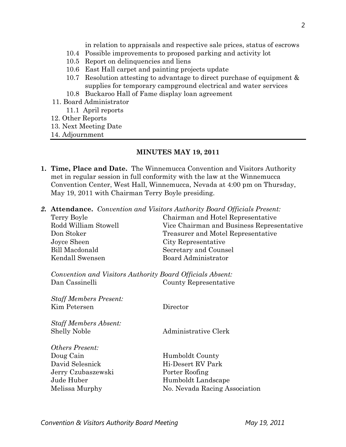in relation to appraisals and respective sale prices, status of escrows

- 10.4 Possible improvements to proposed parking and activity lot
- 10.5 Report on delinquencies and liens
- 10.6 East Hall carpet and painting projects update
- 10.7 Resolution attesting to advantage to direct purchase of equipment & supplies for temporary campground electrical and water services
- 10.8 Buckaroo Hall of Fame display loan agreement
- 11. Board Administrator
	- 11.1 April reports
- 12. Other Reports
- 13. Next Meeting Date
- 14. Adjournment

#### **MINUTES MAY 19, 2011**

- **1. Time, Place and Date.** The Winnemucca Convention and Visitors Authority met in regular session in full conformity with the law at the Winnemucca Convention Center, West Hall, Winnemucca, Nevada at 4:00 pm on Thursday, May 19, 2011 with Chairman Terry Boyle presiding.
- *2.* **Attendance.** *Convention and Visitors Authority Board Officials Present:*

| Terry Boyle                                               | Chairman and Hotel Representative         |  |
|-----------------------------------------------------------|-------------------------------------------|--|
| Rodd William Stowell                                      | Vice Chairman and Business Representative |  |
| Don Stoker                                                | Treasurer and Motel Representative        |  |
| Joyce Sheen                                               | City Representative                       |  |
| <b>Bill Macdonald</b>                                     | Secretary and Counsel                     |  |
| Kendall Swensen                                           | <b>Board Administrator</b>                |  |
| Convention and Visitors Authority Board Officials Absent: |                                           |  |
| Dan Cassinelli                                            | County Representative                     |  |
| <b>Staff Members Present:</b>                             |                                           |  |
| Kim Petersen                                              | Director                                  |  |
| <b>Staff Members Absent:</b>                              |                                           |  |
| <b>Shelly Noble</b>                                       | Administrative Clerk                      |  |
| <i><b>Others Present:</b></i>                             |                                           |  |
| Doug Cain                                                 | Humboldt County                           |  |
| David Selesnick                                           | Hi-Desert RV Park                         |  |
| Jerry Czubaszewski                                        | Porter Roofing                            |  |
| Jude Huber                                                | Humboldt Landscape                        |  |
| Melissa Murphy                                            | No. Nevada Racing Association             |  |
|                                                           |                                           |  |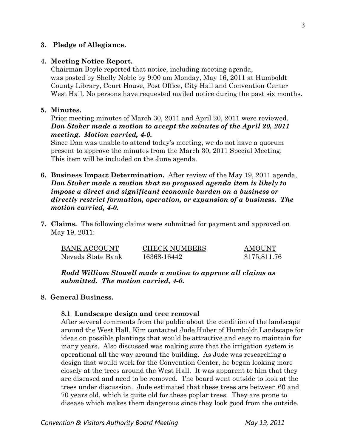### **3. Pledge of Allegiance.**

#### **4. Meeting Notice Report.**

Chairman Boyle reported that notice, including meeting agenda, was posted by Shelly Noble by 9:00 am Monday, May 16, 2011 at Humboldt County Library, Court House, Post Office, City Hall and Convention Center West Hall. No persons have requested mailed notice during the past six months.

### **5. Minutes.**

Prior meeting minutes of March 30, 2011 and April 20, 2011 were reviewed. *Don Stoker made a motion to accept the minutes of the April 20, 2011 meeting. Motion carried, 4-0.* 

Since Dan was unable to attend today's meeting, we do not have a quorum present to approve the minutes from the March 30, 2011 Special Meeting. This item will be included on the June agenda.

- **6. Business Impact Determination.** After review of the May 19, 2011 agenda, *Don Stoker made a motion that no proposed agenda item is likely to impose a direct and significant economic burden on a business or directly restrict formation, operation, or expansion of a business. The motion carried, 4-0.*
- **7. Claims.** The following claims were submitted for payment and approved on May 19, 2011:

| <b>BANK ACCOUNT</b> | <b>CHECK NUMBERS</b> | <b>AMOUNT</b> |
|---------------------|----------------------|---------------|
| Nevada State Bank   | 16368-16442          | \$175,811.76  |

*Rodd William Stowell made a motion to approve all claims as submitted. The motion carried, 4-0.* 

### **8. General Business.**

### **8.1 Landscape design and tree removal**

After several comments from the public about the condition of the landscape around the West Hall, Kim contacted Jude Huber of Humboldt Landscape for ideas on possible plantings that would be attractive and easy to maintain for many years. Also discussed was making sure that the irrigation system is operational all the way around the building. As Jude was researching a design that would work for the Convention Center, he began looking more closely at the trees around the West Hall. It was apparent to him that they are diseased and need to be removed. The board went outside to look at the trees under discussion. Jude estimated that these trees are between 60 and 70 years old, which is quite old for these poplar trees. They are prone to disease which makes them dangerous since they look good from the outside.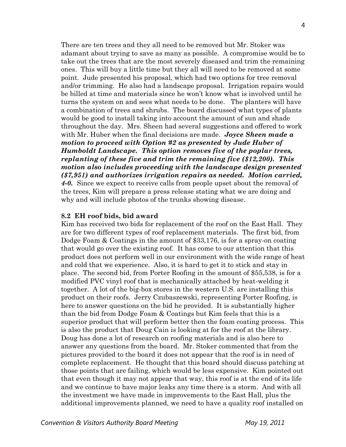There are ten trees and they all need to be removed but Mr. Stoker was adamant about trying to save as many as possible. A compromise would be to take out the trees that are the most severely diseased and trim the remaining ones. This will buy a little time but they all will need to be removed at some point. Jude presented his proposal, which had two options for tree removal and/or trimming. He also had a landscape proposal. Irrigation repairs would be billed at time and materials since he won't know what is involved until he turns the system on and sees what needs to be done. The planters will have a combination of trees and shrubs. The board discussed what types of plants would be good to install taking into account the amount of sun and shade throughout the day. Mrs. Sheen had several suggestions and offered to work with Mr. Huber when the final decisions are made. *Joyce Sheen made a motion to proceed with Option #2 as presented by Jude Huber of Humboldt Landscape. This option removes five of the poplar trees, replanting of these five and trim the remaining five (\$12,200). This motion also includes proceeding with the landscape design presented (\$7,951) and authorizes irrigation repairs as needed. Motion carried, 4-0.* Since we expect to receive calls from people upset about the removal of the trees, Kim will prepare a press release stating what we are doing and why and will include photos of the trunks showing disease.

#### **8.2 EH roof bids, bid award**

Kim has received two bids for replacement of the roof on the East Hall. They are for two different types of roof replacement materials. The first bid, from Dodge Foam & Coatings in the amount of \$33,176, is for a spray-on coating that would go over the existing roof. It has come to our attention that this product does not perform well in our environment with the wide range of heat and cold that we experience. Also, it is hard to get it to stick and stay in place. The second bid, from Porter Roofing in the amount of \$55,538, is for a modified PVC vinyl roof that is mechanically attached by heat-welding it together. A lot of the big-box stores in the western U.S. are installing this product on their roofs. Jerry Czubaszewski, representing Porter Roofing, is here to answer questions on the bid he provided. It is substantially higher than the bid from Dodge Foam & Coatings but Kim feels that this is a superior product that will perform better then the foam coating process. This is also the product that Doug Cain is looking at for the roof at the library. Doug has done a lot of research on roofing materials and is also here to answer any questions from the board. Mr. Stoker commented that from the pictures provided to the board it does not appear that the roof is in need of complete replacement. He thought that this board should discuss patching at those points that are failing, which would be less expensive. Kim pointed out that even though it may not appear that way, this roof is at the end of its life and we continue to have major leaks any time there is a storm. And with all the investment we have made in improvements to the East Hall, plus the additional improvements planned, we need to have a quality roof installed on

**Convention & Visitors Authority Board Meeting The Convention & Visitors Authority Board Meeting May 19, 2011**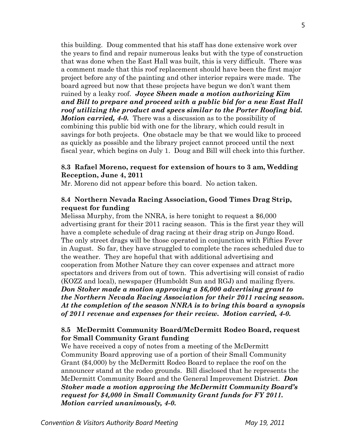this building. Doug commented that his staff has done extensive work over the years to find and repair numerous leaks but with the type of construction that was done when the East Hall was built, this is very difficult. There was a comment made that this roof replacement should have been the first major project before any of the painting and other interior repairs were made. The board agreed but now that these projects have begun we don't want them ruined by a leaky roof. *Joyce Sheen made a motion authorizing Kim and Bill to prepare and proceed with a public bid for a new East Hall roof utilizing the product and specs similar to the Porter Roofing bid. Motion carried, 4-0.* There was a discussion as to the possibility of combining this public bid with one for the library, which could result in savings for both projects. One obstacle may be that we would like to proceed as quickly as possible and the library project cannot proceed until the next fiscal year, which begins on July 1. Doug and Bill will check into this further.

## **8.3 Rafael Moreno, request for extension of hours to 3 am, Wedding Reception, June 4, 2011**

Mr. Moreno did not appear before this board. No action taken.

## **8.4 Northern Nevada Racing Association, Good Times Drag Strip, request for funding**

Melissa Murphy, from the NNRA, is here tonight to request a \$6,000 advertising grant for their 2011 racing season. This is the first year they will have a complete schedule of drag racing at their drag strip on Jungo Road. The only street drags will be those operated in conjunction with Fifties Fever in August. So far, they have struggled to complete the races scheduled due to the weather. They are hopeful that with additional advertising and cooperation from Mother Nature they can cover expenses and attract more spectators and drivers from out of town. This advertising will consist of radio (KOZZ and local), newspaper (Humboldt Sun and RGJ) and mailing flyers. *Don Stoker made a motion approving a \$6,000 advertising grant to the Northern Nevada Racing Association for their 2011 racing season. At the completion of the season NNRA is to bring this board a synopsis of 2011 revenue and expenses for their review. Motion carried, 4-0.* 

# **8.5 McDermitt Community Board/McDermitt Rodeo Board, request for Small Community Grant funding**

We have received a copy of notes from a meeting of the McDermitt Community Board approving use of a portion of their Small Community Grant (\$4,000) by the McDermitt Rodeo Board to replace the roof on the announcer stand at the rodeo grounds. Bill disclosed that he represents the McDermitt Community Board and the General Improvement District. *Don Stoker made a motion approving the McDermitt Community Board's request for \$4,000 in Small Community Grant funds for FY 2011. Motion carried unanimously, 4-0.*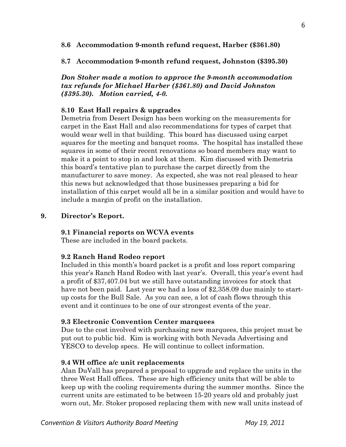### **8.6 Accommodation 9-month refund request, Harber (\$361.80)**

## **8.7 Accommodation 9-month refund request, Johnston (\$395.30)**

### *Don Stoker made a motion to approve the 9-month accommodation tax refunds for Michael Harber (\$361.80) and David Johnston (\$395.30). Motion carried, 4-0.*

## **8.10 East Hall repairs & upgrades**

Demetria from Desert Design has been working on the measurements for carpet in the East Hall and also recommendations for types of carpet that would wear well in that building. This board has discussed using carpet squares for the meeting and banquet rooms. The hospital has installed these squares in some of their recent renovations so board members may want to make it a point to stop in and look at them. Kim discussed with Demetria this board's tentative plan to purchase the carpet directly from the manufacturer to save money. As expected, she was not real pleased to hear this news but acknowledged that those businesses preparing a bid for installation of this carpet would all be in a similar position and would have to include a margin of profit on the installation.

### **9. Director's Report.**

### **9.1 Financial reports on WCVA events**

These are included in the board packets.

### **9.2 Ranch Hand Rodeo report**

Included in this month's board packet is a profit and loss report comparing this year's Ranch Hand Rodeo with last year's. Overall, this year's event had a profit of \$37,407.04 but we still have outstanding invoices for stock that have not been paid. Last year we had a loss of \$2,358.09 due mainly to startup costs for the Bull Sale. As you can see, a lot of cash flows through this event and it continues to be one of our strongest events of the year.

### **9.3 Electronic Convention Center marquees**

Due to the cost involved with purchasing new marquees, this project must be put out to public bid. Kim is working with both Nevada Advertising and YESCO to develop specs. He will continue to collect information.

# **9.4 WH office a/c unit replacements**

Alan DuVall has prepared a proposal to upgrade and replace the units in the three West Hall offices. These are high efficiency units that will be able to keep up with the cooling requirements during the summer months. Since the current units are estimated to be between 15-20 years old and probably just worn out, Mr. Stoker proposed replacing them with new wall units instead of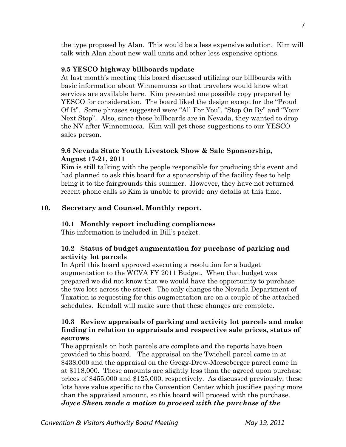the type proposed by Alan. This would be a less expensive solution. Kim will talk with Alan about new wall units and other less expensive options.

### **9.5 YESCO highway billboards update**

At last month's meeting this board discussed utilizing our billboards with basic information about Winnemucca so that travelers would know what services are available here. Kim presented one possible copy prepared by YESCO for consideration. The board liked the design except for the "Proud Of It". Some phrases suggested were "All For You". "Stop On By" and "Your Next Stop". Also, since these billboards are in Nevada, they wanted to drop the NV after Winnemucca. Kim will get these suggestions to our YESCO sales person.

# **9.6 Nevada State Youth Livestock Show & Sale Sponsorship, August 17-21, 2011**

Kim is still talking with the people responsible for producing this event and had planned to ask this board for a sponsorship of the facility fees to help bring it to the fairgrounds this summer. However, they have not returned recent phone calls so Kim is unable to provide any details at this time.

# **10. Secretary and Counsel, Monthly report.**

# **10.1 Monthly report including compliances**

This information is included in Bill's packet.

# **10.2 Status of budget augmentation for purchase of parking and activity lot parcels**

In April this board approved executing a resolution for a budget augmentation to the WCVA FY 2011 Budget. When that budget was prepared we did not know that we would have the opportunity to purchase the two lots across the street. The only changes the Nevada Department of Taxation is requesting for this augmentation are on a couple of the attached schedules. Kendall will make sure that these changes are complete.

## **10.3 Review appraisals of parking and activity lot parcels and make finding in relation to appraisals and respective sale prices, status of escrows**

The appraisals on both parcels are complete and the reports have been provided to this board. The appraisal on the Twichell parcel came in at \$438,000 and the appraisal on the Gregg-Drew-Morseberger parcel came in at \$118,000. These amounts are slightly less than the agreed upon purchase prices of \$455,000 and \$125,000, respectively. As discussed previously, these lots have value specific to the Convention Center which justifies paying more than the appraised amount, so this board will proceed with the purchase. *Joyce Sheen made a motion to proceed with the purchase of the*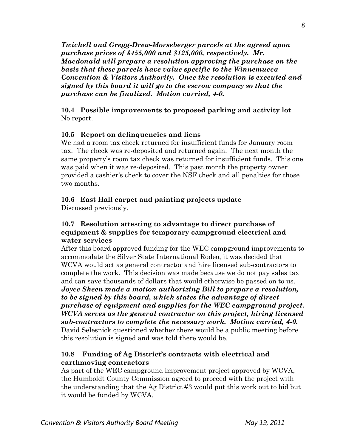*Twichell and Gregg-Drew-Morseberger parcels at the agreed upon purchase prices of \$455,000 and \$125,000, respectively. Mr. Macdonald will prepare a resolution approving the purchase on the basis that these parcels have value specific to the Winnemucca Convention & Visitors Authority. Once the resolution is executed and signed by this board it will go to the escrow company so that the purchase can be finalized. Motion carried, 4-0.* 

**10.4 Possible improvements to proposed parking and activity lot** No report.

# **10.5 Report on delinquencies and liens**

We had a room tax check returned for insufficient funds for January room tax. The check was re-deposited and returned again. The next month the same property's room tax check was returned for insufficient funds. This one was paid when it was re-deposited. This past month the property owner provided a cashier's check to cover the NSF check and all penalties for those two months.

## **10.6 East Hall carpet and painting projects update**

Discussed previously.

## **10.7 Resolution attesting to advantage to direct purchase of equipment & supplies for temporary campground electrical and water services**

After this board approved funding for the WEC campground improvements to accommodate the Silver State International Rodeo, it was decided that WCVA would act as general contractor and hire licensed sub-contractors to complete the work. This decision was made because we do not pay sales tax and can save thousands of dollars that would otherwise be passed on to us. *Joyce Sheen made a motion authorizing Bill to prepare a resolution, to be signed by this board, which states the advantage of direct purchase of equipment and supplies for the WEC campground project. WCVA serves as the general contractor on this project, hiring licensed sub-contractors to complete the necessary work. Motion carried, 4-0.*  David Selesnick questioned whether there would be a public meeting before this resolution is signed and was told there would be.

## **10.8 Funding of Ag District's contracts with electrical and earthmoving contractors**

As part of the WEC campground improvement project approved by WCVA, the Humboldt County Commission agreed to proceed with the project with the understanding that the Ag District #3 would put this work out to bid but it would be funded by WCVA.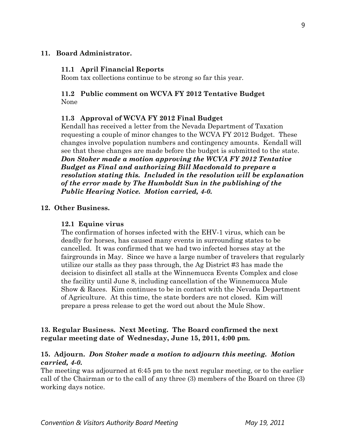#### **11. Board Administrator.**

#### **11.1 April Financial Reports**

Room tax collections continue to be strong so far this year.

#### **11.2 Public comment on WCVA FY 2012 Tentative Budget**  None

### **11.3 Approval of WCVA FY 2012 Final Budget**

Kendall has received a letter from the Nevada Department of Taxation requesting a couple of minor changes to the WCVA FY 2012 Budget. These changes involve population numbers and contingency amounts. Kendall will see that these changes are made before the budget is submitted to the state. *Don Stoker made a motion approving the WCVA FY 2012 Tentative Budget as Final and authorizing Bill Macdonald to prepare a resolution stating this. Included in the resolution will be explanation of the error made by The Humboldt Sun in the publishing of the Public Hearing Notice. Motion carried, 4-0.* 

#### **12. Other Business.**

#### **12.1 Equine virus**

The confirmation of horses infected with the EHV-1 virus, which can be deadly for horses, has caused many events in surrounding states to be cancelled. It was confirmed that we had two infected horses stay at the fairgrounds in May. Since we have a large number of travelers that regularly utilize our stalls as they pass through, the Ag District #3 has made the decision to disinfect all stalls at the Winnemucca Events Complex and close the facility until June 8, including cancellation of the Winnemucca Mule Show & Races. Kim continues to be in contact with the Nevada Department of Agriculture. At this time, the state borders are not closed. Kim will prepare a press release to get the word out about the Mule Show.

### **13. Regular Business. Next Meeting. The Board confirmed the next regular meeting date of Wednesday, June 15, 2011, 4:00 pm.**

## **15. Adjourn.** *Don Stoker made a motion to adjourn this meeting. Motion carried, 4-0.*

The meeting was adjourned at 6:45 pm to the next regular meeting, or to the earlier call of the Chairman or to the call of any three (3) members of the Board on three (3) working days notice.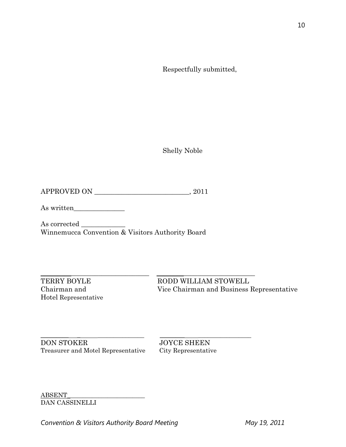Respectfully submitted,

Shelly Noble

APPROVED ON \_\_\_\_\_\_\_\_\_\_\_\_\_\_\_\_\_\_\_\_\_\_\_\_\_\_\_\_, 2011

As written\_\_\_\_\_\_\_\_\_\_\_\_\_\_\_

As corrected Winnemucca Convention & Visitors Authority Board

Hotel Representative

\_\_\_\_\_\_\_\_\_\_\_\_\_\_\_\_\_\_\_\_\_\_\_\_\_\_\_\_\_\_\_\_ \_\_\_\_\_\_\_\_\_\_\_\_\_\_\_\_\_\_\_\_\_\_\_\_\_\_\_\_\_ TERRY BOYLE RODD WILLIAM STOWELL Chairman and Vice Chairman and Business Representative

\_\_\_\_\_\_\_\_\_ \_ \_\_\_\_\_\_\_\_\_\_\_\_\_\_\_ \_\_\_\_\_\_\_\_ \_\_\_\_\_\_\_\_\_\_\_\_\_\_\_\_\_ DON STOKER JOYCE SHEEN Treasurer and Motel Representative City Representative

ABSENT\_\_\_\_\_\_\_\_\_\_\_\_\_\_\_\_\_\_\_\_\_\_\_\_\_ DAN CASSINELLI

Convention & Visitors Authority Board Meeting May 19, 2011